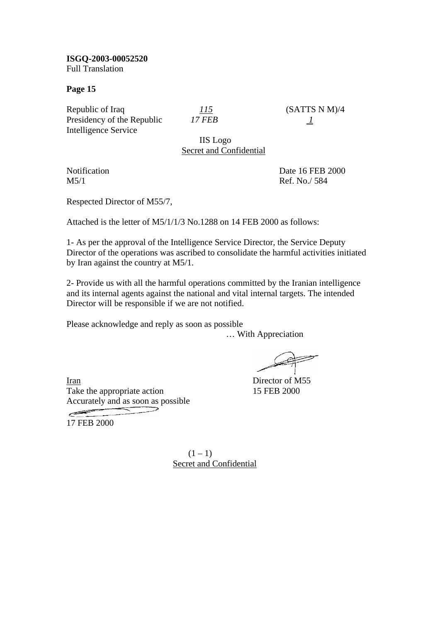**ISGQ-2003-00052520**  Full Translation

**Page 15** 

Republic of Iraq  $115$  (SATTS N M)/4 Presidency of the Republic *17 FEB* 1 Intelligence Service

IIS Logo Secret and Confidential

Notification Date 16 FEB 2000 M5/1 Ref. No./ 584

Respected Director of M55/7,

Attached is the letter of M5/1/1/3 No.1288 on 14 FEB 2000 as follows:

1- As per the approval of the Intelligence Service Director, the Service Deputy Director of the operations was ascribed to consolidate the harmful activities initiated by Iran against the country at M5/1.

2- Provide us with all the harmful operations committed by the Iranian intelligence and its internal agents against the national and vital internal targets. The intended Director will be responsible if we are not notified.

Please acknowledge and reply as soon as possible

… With Appreciation

 $\implies$ 

Iran Director of M55 Take the appropriate action 15 FEB 2000 Accurately and as soon as possible

17 FEB 2000

 $(1 - 1)$ Secret and Confidential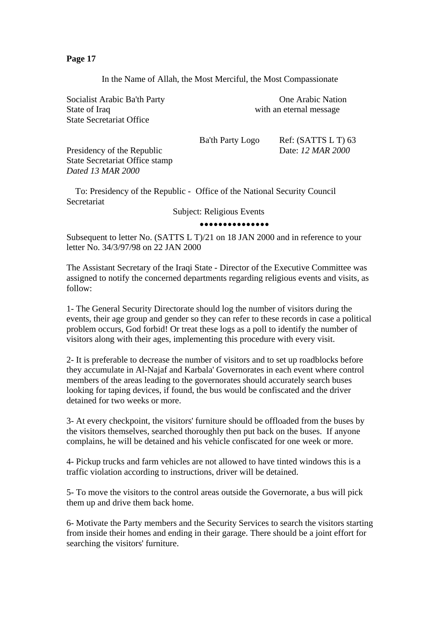In the Name of Allah, the Most Merciful, the Most Compassionate

Socialist Arabic Ba'th Party **One Arabic Nation** State of Iraq with an eternal message State Secretariat Office

Ba'th Party Logo Ref: (SATTS L T) 63

Presidency of the Republic Date: *12 MAR 2000* State Secretariat Office stamp *Dated 13 MAR 2000* 

 To: Presidency of the Republic - Office of the National Security Council Secretariat

Subject: Religious Events

#### •••••••••••••••

Subsequent to letter No. (SATTS L T)/21 on 18 JAN 2000 and in reference to your letter No. 34/3/97/98 on 22 JAN 2000

The Assistant Secretary of the Iraqi State - Director of the Executive Committee was assigned to notify the concerned departments regarding religious events and visits, as follow:

1- The General Security Directorate should log the number of visitors during the events, their age group and gender so they can refer to these records in case a political problem occurs, God forbid! Or treat these logs as a poll to identify the number of visitors along with their ages, implementing this procedure with every visit.

2- It is preferable to decrease the number of visitors and to set up roadblocks before they accumulate in Al-Najaf and Karbala' Governorates in each event where control members of the areas leading to the governorates should accurately search buses looking for taping devices, if found, the bus would be confiscated and the driver detained for two weeks or more.

3- At every checkpoint, the visitors' furniture should be offloaded from the buses by the visitors themselves, searched thoroughly then put back on the buses. If anyone complains, he will be detained and his vehicle confiscated for one week or more.

4- Pickup trucks and farm vehicles are not allowed to have tinted windows this is a traffic violation according to instructions, driver will be detained.

5- To move the visitors to the control areas outside the Governorate, a bus will pick them up and drive them back home.

6- Motivate the Party members and the Security Services to search the visitors starting from inside their homes and ending in their garage. There should be a joint effort for searching the visitors' furniture.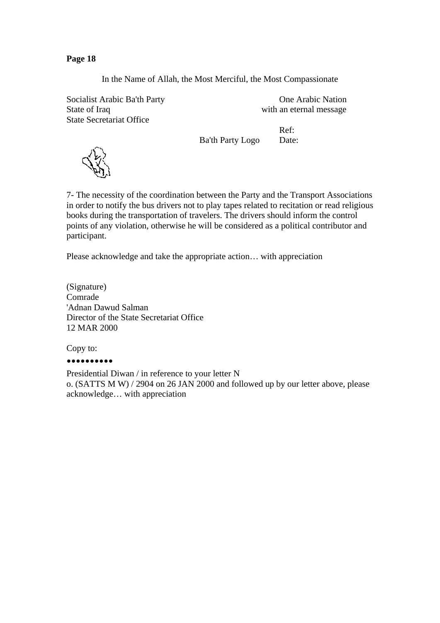In the Name of Allah, the Most Merciful, the Most Compassionate

Socialist Arabic Ba'th Party **One Arabic Nation** State of Iraq with an eternal message State Secretariat Office

Ref: Ba'th Party Logo Date:



7- The necessity of the coordination between the Party and the Transport Associations in order to notify the bus drivers not to play tapes related to recitation or read religious books during the transportation of travelers. The drivers should inform the control points of any violation, otherwise he will be considered as a political contributor and participant.

Please acknowledge and take the appropriate action… with appreciation

(Signature) Comrade 'Adnan Dawud Salman Director of the State Secretariat Office 12 MAR 2000

Copy to:

## ••••••••••

Presidential Diwan / in reference to your letter N o. (SATTS M W) / 2904 on 26 JAN 2000 and followed up by our letter above, please acknowledge… with appreciation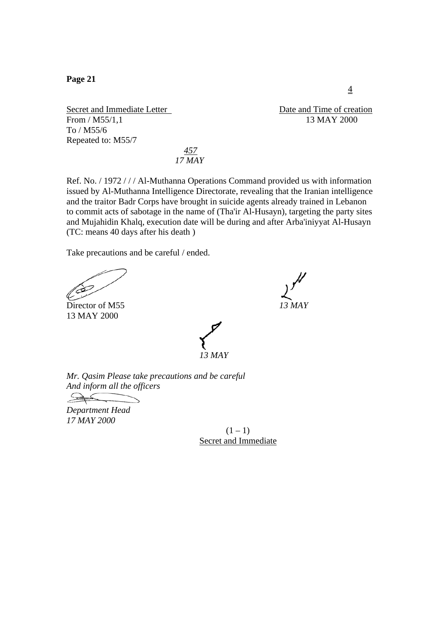Secret and Immediate Letter Date and Time of creation From / M55/1,1 13 MAY 2000 To / M55/6 Repeated to: M55/7

 *457 17 MAY* 

Ref. No. / 1972 / / / Al-Muthanna Operations Command provided us with information issued by Al-Muthanna Intelligence Directorate, revealing that the Iranian intelligence and the traitor Badr Corps have brought in suicide agents already trained in Lebanon to commit acts of sabotage in the name of (Tha'ir Al-Husayn), targeting the party sites and Mujahidin Khalq, execution date will be during and after Arba'iniyyat Al-Husayn (TC: means 40 days after his death )

Take precautions and be careful / ended.

Director of M55 13 MAY 2000



*Mr. Qasim Please take precautions and be careful And inform all the officers* 

 $\rightarrow$ 

*Department Head 17 MAY 2000* 

 $(1 - 1)$ Secret and Immediate

4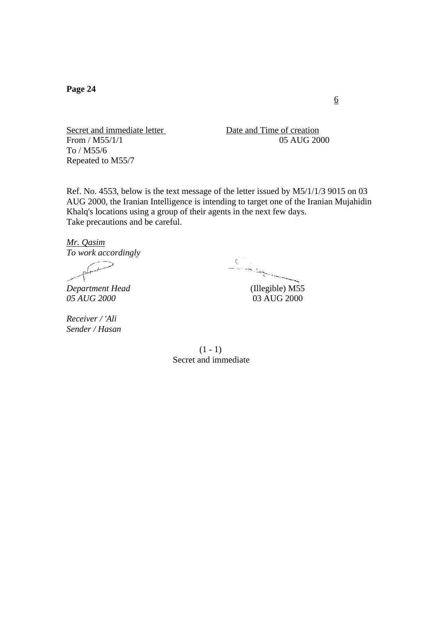Secret and immediate letter Date and Time of creation From / M55/1/1 05 AUG 2000 To / M55/6 Repeated to M55/7

Ref. No. 4553, below is the text message of the letter issued by M5/1/1/3 9015 on 03 AUG 2000, the Iranian Intelligence is intending to target one of the Iranian Mujahidin Khalq's locations using a group of their agents in the next few days. Take precautions and be careful.

*Mr. Qasim*

*To work accordingly* 

*05 AUG 2000* 03 AUG 2000

*Receiver / 'Ali Sender / Hasan* 

*Department Head* (Illegible) M55

 $(1 - 1)$ Secret and immediate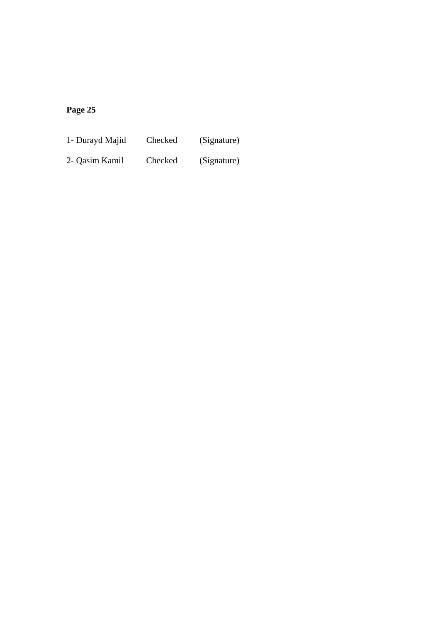1- Durayd Majid Checked (Signature)

2- Qasim Kamil Checked (Signature)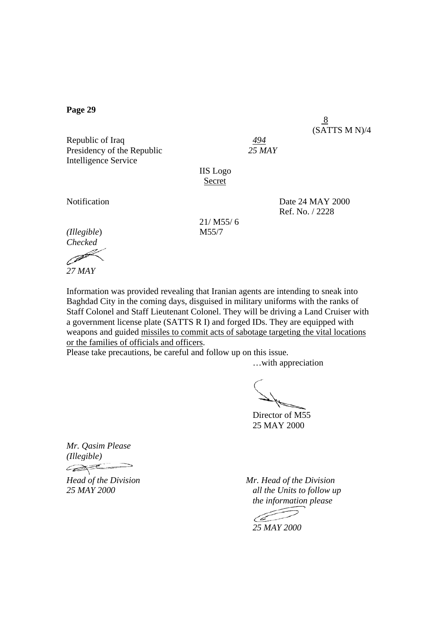Republic of Iraq Presidency of the Republic*25 MAY*  Intelligence Service

IIS Logo **Secret** 

8

Notification Date 24 MAY 2000 Ref. No. / 2228

(SATTS M N)/4

*(Illegible*) M55/7 *Checked* 

21/ M55/ 6

*27 MAY* 

Information was provided revealing that Iranian agents are intending to sneak into Baghdad City in the coming days, disguised in military uniforms with the ranks of Staff Colonel and Staff Lieutenant Colonel. They will be driving a Land Cruiser with a government license plate (SATTS R I) and forged IDs. They are equipped with weapons and guided missiles to commit acts of sabotage targeting the vital locations or the families of officials and officers.

Please take precautions, be careful and follow up on this issue.

…with appreciation

 Director of M55 25 MAY 2000

*Mr. Qasim Please (Illegible)*  COSTE-

*Head of the Division Mr. Head of the Division 25 MAY 2000 all the Units to follow up the information please* 

 *25 MAY 2000*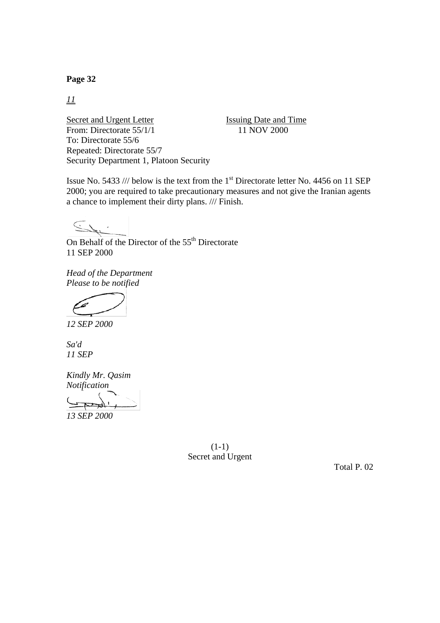*11*

Secret and Urgent Letter Issuing Date and Time From: Directorate 55/1/1 11 NOV 2000 To: Directorate 55/6 Repeated: Directorate 55/7 Security Department 1, Platoon Security

Issue No. 5433 /// below is the text from the  $1<sup>st</sup>$  Directorate letter No. 4456 on 11 SEP 2000; you are required to take precautionary measures and not give the Iranian agents a chance to implement their dirty plans. /// Finish.

 $\subseteq$ 

On Behalf of the Director of the  $55<sup>th</sup>$  Directorate 11 SEP 2000

*Head of the Department Please to be notified* 

*12 SEP 2000* 

*Sa'd 11 SEP*

*Kindly Mr. Qasim Notification 13 SEP 2000* 

> (1-1) Secret and Urgent

> > Total P. 02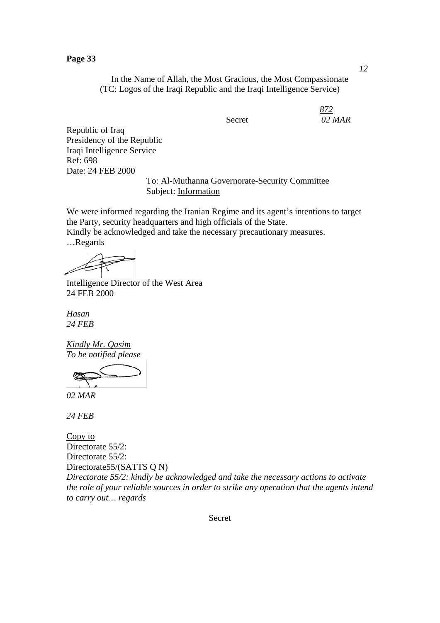In the Name of Allah, the Most Gracious, the Most Compassionate (TC: Logos of the Iraqi Republic and the Iraqi Intelligence Service)

*872* Secret *02 MAR*

Republic of Iraq Presidency of the Republic Iraqi Intelligence Service Ref: 698 Date: 24 FEB 2000

To: Al-Muthanna Governorate-Security Committee Subject: Information

We were informed regarding the Iranian Regime and its agent's intentions to target the Party, security headquarters and high officials of the State. Kindly be acknowledged and take the necessary precautionary measures.

…Regards

Intelligence Director of the West Area 24 FEB 2000

*Hasan 24 FEB* 

*Kindly Mr. Qasim To be notified please* 

*02 MAR* 

*24 FEB* 

Copy to Directorate 55/2: Directorate 55/2: Directorate55/(SATTS O N) *Directorate 55/2: kindly be acknowledged and take the necessary actions to activate the role of your reliable sources in order to strike any operation that the agents intend to carry out… regards* 

Secret

*12*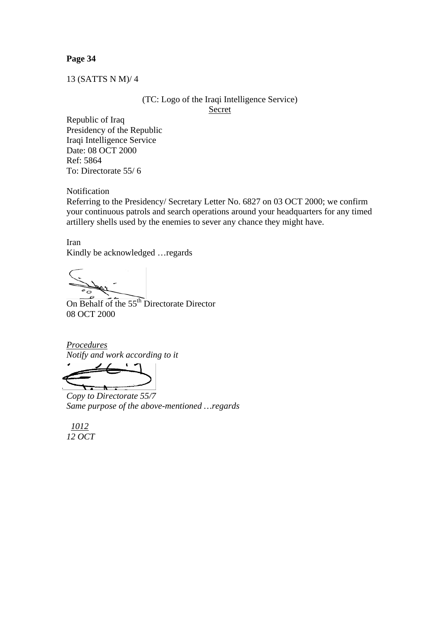13 (SATTS N M)/ 4

(TC: Logo of the Iraqi Intelligence Service) Secret

Republic of Iraq Presidency of the Republic Iraqi Intelligence Service Date: 08 OCT 2000 Ref: 5864 To: Directorate 55/ 6

Notification

Referring to the Presidency/ Secretary Letter No. 6827 on 03 OCT 2000; we confirm your continuous patrols and search operations around your headquarters for any timed artillery shells used by the enemies to sever any chance they might have.

Iran Kindly be acknowledged …regards

On Behalf of the 55<sup>th</sup> Directorate Director 08 OCT 2000

*Procedures Notify and work according to it* 

 $\textcolor{red}{\bigstar}$ 

*Copy to Directorate 55/7 Same purpose of the above-mentioned …regards* 

 *1012 12 OCT*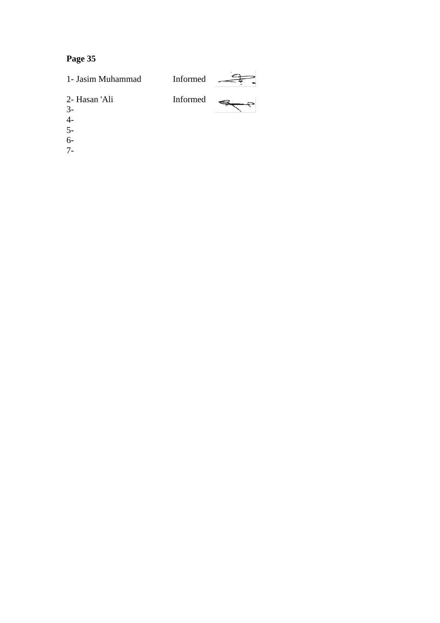

- 4-
- 5-
- 6-
- 
- 7-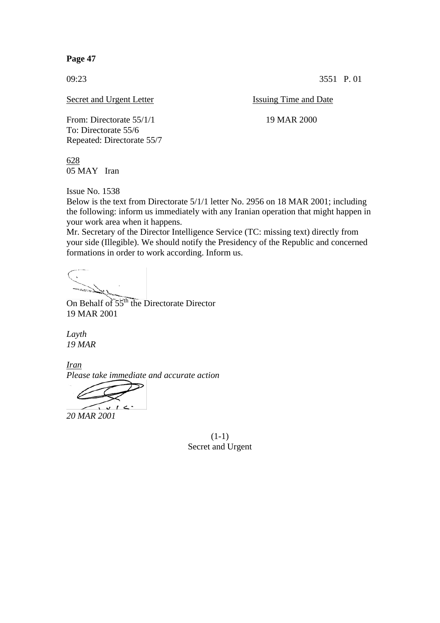09:23 3551 P. 01

Secret and Urgent Letter Issuing Time and Date

From: Directorate 55/1/1 19 MAR 2000 To: Directorate 55/6 Repeated: Directorate 55/7

628 05 MAY Iran

Issue No. 1538

Below is the text from Directorate 5/1/1 letter No. 2956 on 18 MAR 2001; including the following: inform us immediately with any Iranian operation that might happen in your work area when it happens.

Mr. Secretary of the Director Intelligence Service (TC: missing text) directly from your side (Illegible). We should notify the Presidency of the Republic and concerned formations in order to work according. Inform us.

On Behalf of  $55<sup>th</sup>$  the Directorate Director 19 MAR 2001

*Layth 19 MAR* 

*Iran Please take immediate and accurate action* 

 $v<sup>2</sup>$ 

*20 MAR 2001*

(1-1) Secret and Urgent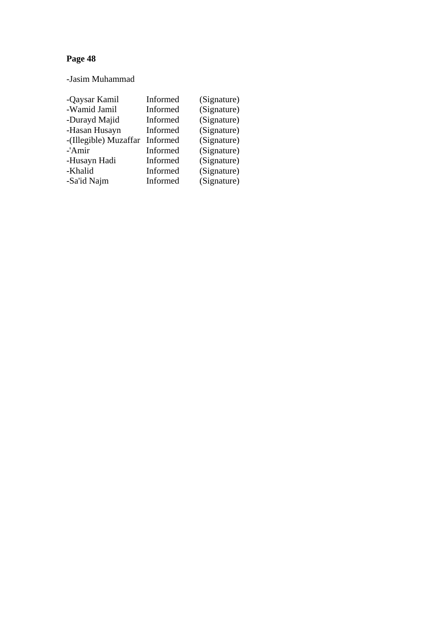-Jasim Muhammad

| -Qaysar Kamil         | Informed | (Signature) |
|-----------------------|----------|-------------|
| -Wamid Jamil          | Informed | (Signature) |
| -Durayd Majid         | Informed | (Signature) |
| -Hasan Husayn         | Informed | (Signature) |
| -(Illegible) Muzaffar | Informed | (Signature) |
| -'Amir                | Informed | (Signature) |
| -Husayn Hadi          | Informed | (Signature) |
| -Khalid               | Informed | (Signature) |
| -Sa'id Najm           | Informed | (Signature) |
|                       |          |             |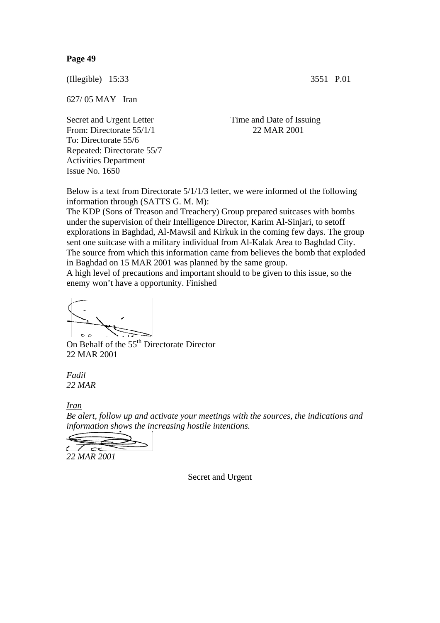(Illegible) 15:33 3551 P.01

627/ 05 MAY Iran

From: Directorate 55/1/1 22 MAR 2001 To: Directorate 55/6 Repeated: Directorate 55/7 Activities Department Issue No. 1650

Secret and Urgent Letter Time and Date of Issuing

Below is a text from Directorate 5/1/1/3 letter, we were informed of the following information through (SATTS G. M. M):

The KDP (Sons of Treason and Treachery) Group prepared suitcases with bombs under the supervision of their Intelligence Director, Karim Al-Sinjari, to setoff explorations in Baghdad, Al-Mawsil and Kirkuk in the coming few days. The group sent one suitcase with a military individual from Al-Kalak Area to Baghdad City. The source from which this information came from believes the bomb that exploded in Baghdad on 15 MAR 2001 was planned by the same group.

A high level of precautions and important should to be given to this issue, so the enemy won't have a opportunity. Finished

 $\sigma$   $\sigma$ 

On Behalf of the 55<sup>th</sup> Directorate Director 22 MAR 2001

*Fadil 22 MAR*

*Iran*

*Be alert, follow up and activate your meetings with the sources, the indications and information shows the increasing hostile intentions.* 

 $\overline{\mathcal{L}}$ 

*22 MAR 2001* 

Secret and Urgent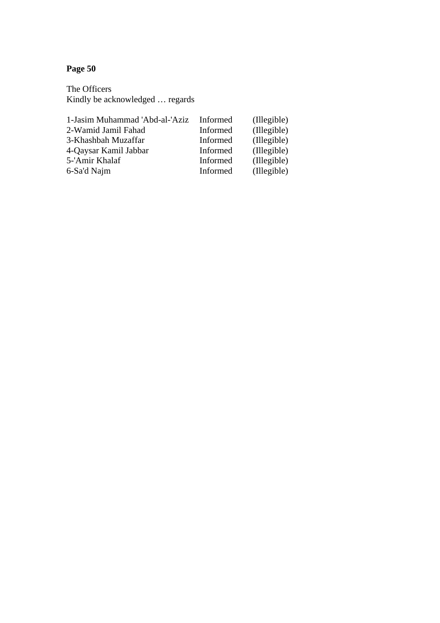The Officers Kindly be acknowledged ... regards

| 1-Jasim Muhammad 'Abd-al-'Aziz | Informed | (Illegible) |
|--------------------------------|----------|-------------|
| 2-Wamid Jamil Fahad            | Informed | (Illegible) |
| 3-Khashbah Muzaffar            | Informed | (Illegible) |
| 4-Qaysar Kamil Jabbar          | Informed | (Illegible) |
| 5-'Amir Khalaf                 | Informed | (Illegible) |
| 6-Sa'd Najm                    | Informed | (Illegible) |
|                                |          |             |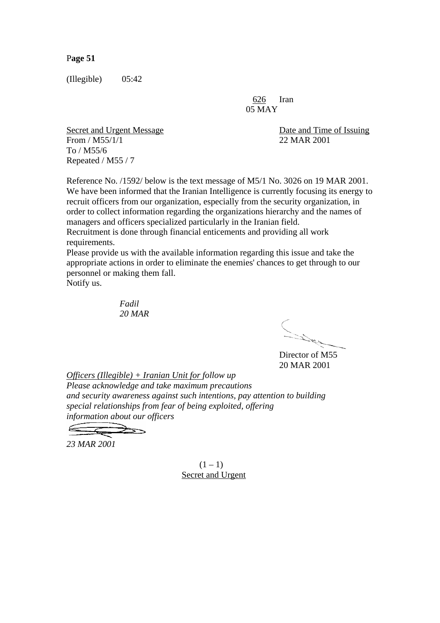(Illegible) 05:42

626 Iran 05 MAY

Secret and Urgent Message Date and Time of Issuing From / M55/1/1 22 MAR 2001 To / M55/6 Repeated / M55 / 7

Reference No. /1592/ below is the text message of M5/1 No. 3026 on 19 MAR 2001. We have been informed that the Iranian Intelligence is currently focusing its energy to recruit officers from our organization, especially from the security organization, in order to collect information regarding the organizations hierarchy and the names of managers and officers specialized particularly in the Iranian field.

Recruitment is done through financial enticements and providing all work requirements.

Please provide us with the available information regarding this issue and take the appropriate actions in order to eliminate the enemies' chances to get through to our personnel or making them fall.

Notify us.

 *Fadil 20 MAR* 

Director of M55

20 MAR 2001

*Officers (Illegible) + Iranian Unit for follow up Please acknowledge and take maximum precautions and security awareness against such intentions, pay attention to building special relationships from fear of being exploited, offering information about our officers* 

*23 MAR 2001* 

 $(1 - 1)$ Secret and Urgent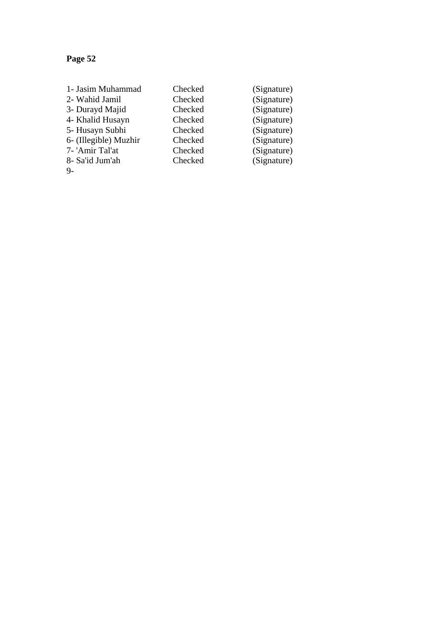| 1- Jasim Muhammad     | Checked | (Signature) |
|-----------------------|---------|-------------|
| 2- Wahid Jamil        | Checked | (Signature) |
| 3- Durayd Majid       | Checked | (Signature) |
| 4- Khalid Husayn      | Checked | (Signature) |
| 5- Husayn Subhi       | Checked | (Signature) |
| 6- (Illegible) Muzhir | Checked | (Signature) |
| 7- 'Amir Tal'at       | Checked | (Signature) |
| 8- Sa'id Jum'ah       | Checked | (Signature) |
| $9-$                  |         |             |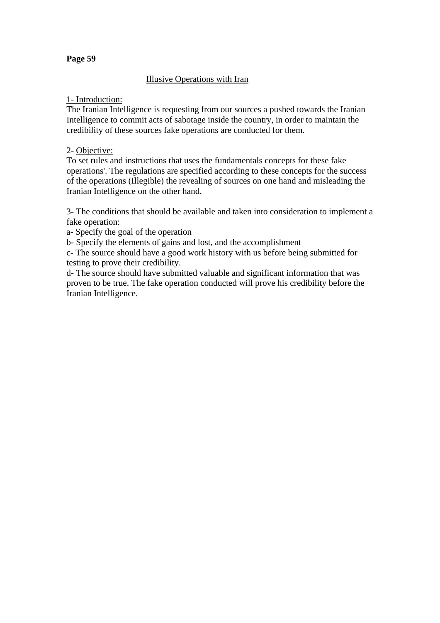## **Illusive Operations with Iran**

## 1- Introduction:

The Iranian Intelligence is requesting from our sources a pushed towards the Iranian Intelligence to commit acts of sabotage inside the country, in order to maintain the credibility of these sources fake operations are conducted for them.

## 2- Objective:

To set rules and instructions that uses the fundamentals concepts for these fake operations'. The regulations are specified according to these concepts for the success of the operations (Illegible) the revealing of sources on one hand and misleading the Iranian Intelligence on the other hand.

3- The conditions that should be available and taken into consideration to implement a fake operation:

a- Specify the goal of the operation

b- Specify the elements of gains and lost, and the accomplishment

c- The source should have a good work history with us before being submitted for testing to prove their credibility.

d- The source should have submitted valuable and significant information that was proven to be true. The fake operation conducted will prove his credibility before the Iranian Intelligence.